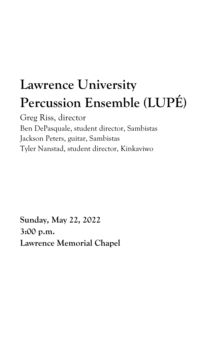# **Lawrence University Percussion Ensemble (LUPÉ)**

Greg Riss, director Ben DePasquale, student director, Sambistas Jackson Peters, guitar, Sambistas Tyler Nanstad, student director, Kinkaviwo

**Sunday, May 22, 2022 3:00 p.m. Lawrence Memorial Chapel**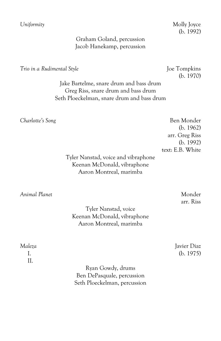*Uniformity* Molly Joyce (b. 1992)

## Graham Goland, percussion Jacob Hanekamp, percussion

*Trio in a Rudimental Style*  $\qquad \qquad$  Joe Tompkins

(b. 1970)

Jake Bartelme, snare drum and bass drum Greg Riss, snare drum and bass drum Seth Ploeckelman, snare drum and bass drum

**Charlotte's Song** Ben Monder (b. 1962) arr. Greg Riss (b. 1992) text: E.B. White

Tyler Nanstad, voice and vibraphone Keenan McDonald, vibraphone Aaron Montreal, marimba

*Animal Planet* Monder

arr. Riss

Tyler Nanstad, voice Keenan McDonald, vibraphone Aaron Montreal, marimba

II.

*Maleza* Javier Diaz I. (b. 1975)

> Ryan Gowdy, drums Ben DePasquale, percussion Seth Ploeckelman, percussion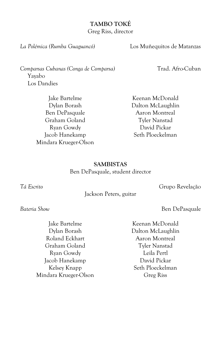#### **TAMBO TOKÉ**

Greg Riss, director

*La Polémica (Rumba Guaguancó)* Los Muñequitos de Matanzas

*Comparsas Cubanas (Conga de Comparsa)* Trad. Afro-Cuban Yayabo Los Dandies

Jake Bartelme Dylan Borash Ben DePasquale Graham Goland Ryan Gowdy Jacob Hanekamp Mindara Krueger-Olson

Keenan McDonald Dalton McLaughlin Aaron Montreal Tyler Nanstad David Pickar Seth Ploeckelman

## **SAMBISTAS**

Ben DePasquale, student director

*Tá Escrito* Grupo Revelação

Jackson Peters, guitar

**Bateria Show** Ben DePasquale

Jake Bartelme Dylan Borash Roland Eckhart Graham Goland Ryan Gowdy Jacob Hanekamp Kelsey Knapp Mindara Krueger-Olson

Keenan McDonald Dalton McLaughlin Aaron Montreal Tyler Nanstad Leila Pertl David Pickar Seth Ploeckelman Greg Riss